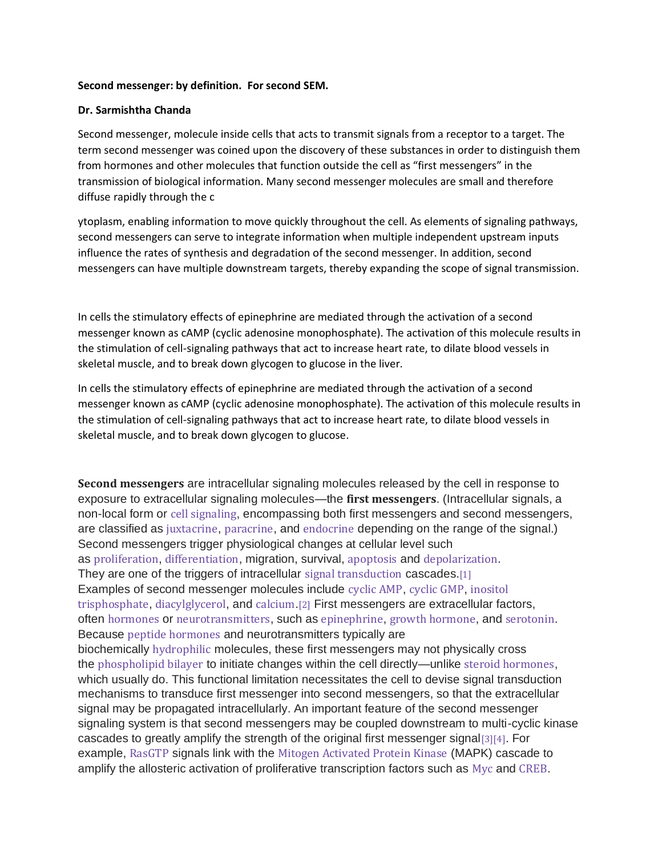#### **Second messenger: by definition. For second SEM.**

#### **Dr. Sarmishtha Chanda**

Second messenger, molecule inside cells that acts to transmit signals from a receptor to a target. The term second messenger was coined upon the discovery of these substances in order to distinguish them from hormones and other molecules that function outside the cell as "first messengers" in the transmission of biological information. Many second messenger molecules are small and therefore diffuse rapidly through the c

ytoplasm, enabling information to move quickly throughout the cell. As elements of signaling pathways, second messengers can serve to integrate information when multiple independent upstream inputs influence the rates of synthesis and degradation of the second messenger. In addition, second messengers can have multiple downstream targets, thereby expanding the scope of signal transmission.

In cells the stimulatory effects of epinephrine are mediated through the activation of a second messenger known as cAMP (cyclic adenosine monophosphate). The activation of this molecule results in the stimulation of cell-signaling pathways that act to increase heart rate, to dilate blood vessels in skeletal muscle, and to break down glycogen to glucose in the liver.

In cells the stimulatory effects of epinephrine are mediated through the activation of a second messenger known as cAMP (cyclic adenosine monophosphate). The activation of this molecule results in the stimulation of cell-signaling pathways that act to increase heart rate, to dilate blood vessels in skeletal muscle, and to break down glycogen to glucose.

**Second messengers** are intracellular signaling molecules released by the cell in response to exposure to extracellular signaling molecules—the **first messengers**. (Intracellular signals, a non-local form or cell [signaling](https://en.m.wikipedia.org/wiki/Cell_signaling), encompassing both first messengers and second messengers, are classified as [juxtacrine](https://en.m.wikipedia.org/wiki/Juxtacrine_signalling), [paracrine](https://en.m.wikipedia.org/wiki/Paracrine_signaling), and [endocrine](https://en.m.wikipedia.org/wiki/Endocrine_system) depending on the range of the signal.) Second messengers trigger physiological changes at cellular level such as [proliferation](https://en.m.wikipedia.org/wiki/Cell_proliferation), [differentiation](https://en.m.wikipedia.org/wiki/Cellular_differentiation), migration, survival, [apoptosis](https://en.m.wikipedia.org/wiki/Apoptosis) and [depolarization](https://en.m.wikipedia.org/wiki/Depolarization). They are one of the triggers of intracellular signal [transduction](https://en.m.wikipedia.org/wiki/Signal_transduction) cascades.[\[1\]](https://en.m.wikipedia.org/wiki/Second_messenger_system#cite_note-1) Examples of second messenger molecules include [cyclic](https://en.m.wikipedia.org/wiki/Cyclic_adenosine_monophosphate) AMP, [cyclic](https://en.m.wikipedia.org/wiki/Cyclic_guanosine_monophosphate) GMP, [inositol](https://en.m.wikipedia.org/wiki/Inositol_trisphosphate) [trisphosphate](https://en.m.wikipedia.org/wiki/Inositol_trisphosphate), [diacylglycerol](https://en.m.wikipedia.org/wiki/Diacylglycerol), and [calcium](https://en.m.wikipedia.org/wiki/Calcium).[\[2\]](https://en.m.wikipedia.org/wiki/Second_messenger_system#cite_note-2) First messengers are extracellular factors, often [hormones](https://en.m.wikipedia.org/wiki/Hormone) or [neurotransmitters](https://en.m.wikipedia.org/wiki/Neurotransmitter), such as [epinephrine](https://en.m.wikipedia.org/wiki/Epinephrine), growth [hormone](https://en.m.wikipedia.org/wiki/Growth_hormone), and [serotonin](https://en.m.wikipedia.org/wiki/Serotonin). Because peptide [hormones](https://en.m.wikipedia.org/wiki/Peptide_hormone) and neurotransmitters typically are biochemically [hydrophilic](https://en.m.wikipedia.org/wiki/Hydrophile) molecules, these first messengers may not physically cross the [phospholipid](https://en.m.wikipedia.org/wiki/Lipid_bilayer) bilayer to initiate changes within the cell directly—unlike steroid [hormones](https://en.m.wikipedia.org/wiki/Steroid_hormone), which usually do. This functional limitation necessitates the cell to devise signal transduction mechanisms to transduce first messenger into second messengers, so that the extracellular signal may be propagated intracellularly. An important feature of the second messenger signaling system is that second messengers may be coupled downstream to multi-cyclic kinase cascades to greatly amplify the strength of the original first messenger signal[\[3\]](https://en.m.wikipedia.org/wiki/Second_messenger_system#cite_note-3)[\[4\]](https://en.m.wikipedia.org/wiki/Second_messenger_system#cite_note-4). For example, [RasGTP](https://en.m.wikipedia.org/wiki/Ras_GTPase) signals link with the Mitogen [Activated](https://en.m.wikipedia.org/wiki/Mitogen-activated_protein_kinase) Protein Kinase (MAPK) cascade to amplify the allosteric activation of proliferative transcription factors such as [Myc](https://en.m.wikipedia.org/wiki/Myc) and [CREB](https://en.m.wikipedia.org/wiki/CREB).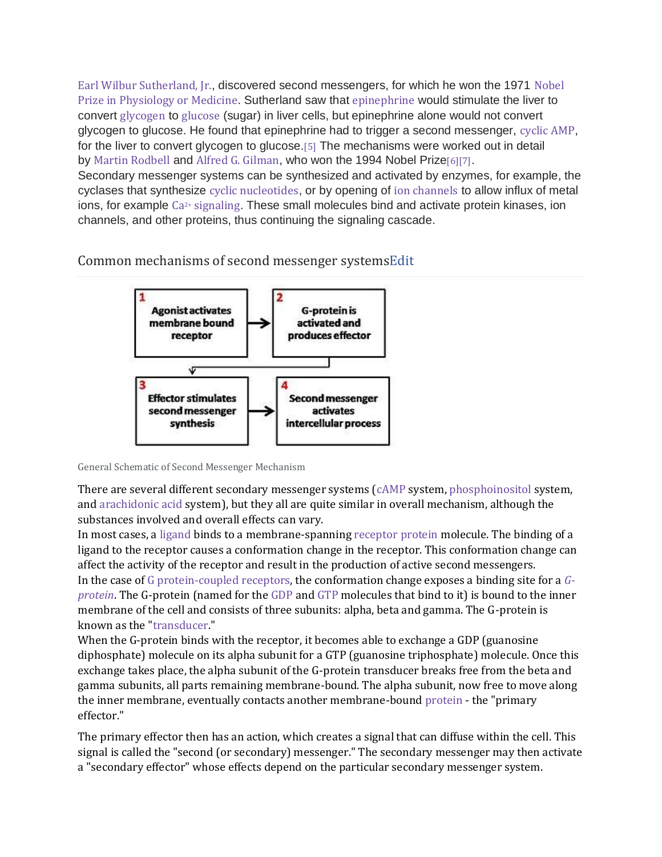Earl Wilbur [Sutherland,](https://en.m.wikipedia.org/wiki/Earl_Wilbur_Sutherland,_Jr.) Jr., discovered second messengers, for which he won the 1971 [Nobel](https://en.m.wikipedia.org/wiki/Nobel_Prize_in_Physiology_or_Medicine) Prize in [Physiology](https://en.m.wikipedia.org/wiki/Nobel_Prize_in_Physiology_or_Medicine) or Medicine. Sutherland saw that [epinephrine](https://en.m.wikipedia.org/wiki/Epinephrine) would stimulate the liver to convert [glycogen](https://en.m.wikipedia.org/wiki/Glycogen) to [glucose](https://en.m.wikipedia.org/wiki/Glucose) (sugar) in liver cells, but epinephrine alone would not convert glycogen to glucose. He found that epinephrine had to trigger a second messenger, [cyclic](https://en.m.wikipedia.org/wiki/Cyclic_AMP) AMP, for the liver to convert glycogen to glucose. [\[5\]](https://en.m.wikipedia.org/wiki/Second_messenger_system#cite_note-Campbell-5) The mechanisms were worked out in detail by Martin [Rodbell](https://en.m.wikipedia.org/wiki/Martin_Rodbell) and Alfred G. [Gilman](https://en.m.wikipedia.org/wiki/Alfred_G._Gilman), who won the 1994 Nobel Prize[\[6\]](https://en.m.wikipedia.org/wiki/Second_messenger_system#cite_note-6)[\[7\]](https://en.m.wikipedia.org/wiki/Second_messenger_system#cite_note-7). Secondary messenger systems can be synthesized and activated by enzymes, for example, the cyclases that synthesize cyclic [nucleotides](https://en.m.wikipedia.org/wiki/Cyclic_nucleotide), or by opening of ion [channels](https://en.m.wikipedia.org/wiki/Ion_channel) to allow influx of metal ions, for example Ca2+ [signaling](https://en.m.wikipedia.org/wiki/Calcium_signaling). These small molecules bind and activate protein kinases, ion channels, and other proteins, thus continuing the signaling cascade.

Common mechanisms of second messenger system[sEdit](https://en.m.wikipedia.org/w/index.php?title=Second_messenger_system&action=edit§ion=2)



General Schematic of Second Messenger Mechanism

There are several different secondary messenger systems [\(cAMP](https://en.m.wikipedia.org/wiki/Cyclic_adenosine_monophosphate) system, [phosphoinositol](https://en.m.wikipedia.org/wiki/Phosphatidylinositol_4,5-bisphosphate) system, and [arachidonic](https://en.m.wikipedia.org/wiki/Arachidonic_acid) acid system), but they all are quite similar in overall mechanism, although the substances involved and overall effects can vary.

In most cases, a [ligand](https://en.m.wikipedia.org/wiki/Ligand_(biochemistry)) binds to a membrane-spanning [receptor](https://en.m.wikipedia.org/wiki/Receptor_protein) protein molecule. The binding of a ligand to the receptor causes a conformation change in the receptor. This conformation change can affect the activity of the receptor and result in the production of active second messengers. In the case of G [protein-coupled](https://en.m.wikipedia.org/wiki/G_protein-coupled_receptors) receptors, the conformation change exposes a binding site for a *[G](https://en.m.wikipedia.org/wiki/G-protein)[protein](https://en.m.wikipedia.org/wiki/G-protein)*. The G-protein (named for the [GDP](https://en.m.wikipedia.org/wiki/Guanosine_diphosphate) and [GTP](https://en.m.wikipedia.org/wiki/Guanosine_triphosphate) molecules that bind to it) is bound to the inner membrane of the cell and consists of three subunits: alpha, beta and gamma. The G-protein is known as the ["transducer.](https://en.m.wikipedia.org/wiki/Signal_transduction)"

When the G-protein binds with the receptor, it becomes able to exchange a GDP (guanosine diphosphate) molecule on its alpha subunit for a GTP (guanosine triphosphate) molecule. Once this exchange takes place, the alpha subunit of the G-protein transducer breaks free from the beta and gamma subunits, all parts remaining membrane-bound. The alpha subunit, now free to move along the inner membrane, eventually contacts another membrane-bound [protein](https://en.m.wikipedia.org/wiki/Protein) - the "primary effector."

The primary effector then has an action, which creates a signal that can diffuse within the cell. This signal is called the "second (or secondary) messenger." The secondary messenger may then activate a "secondary effector" whose effects depend on the particular secondary messenger system.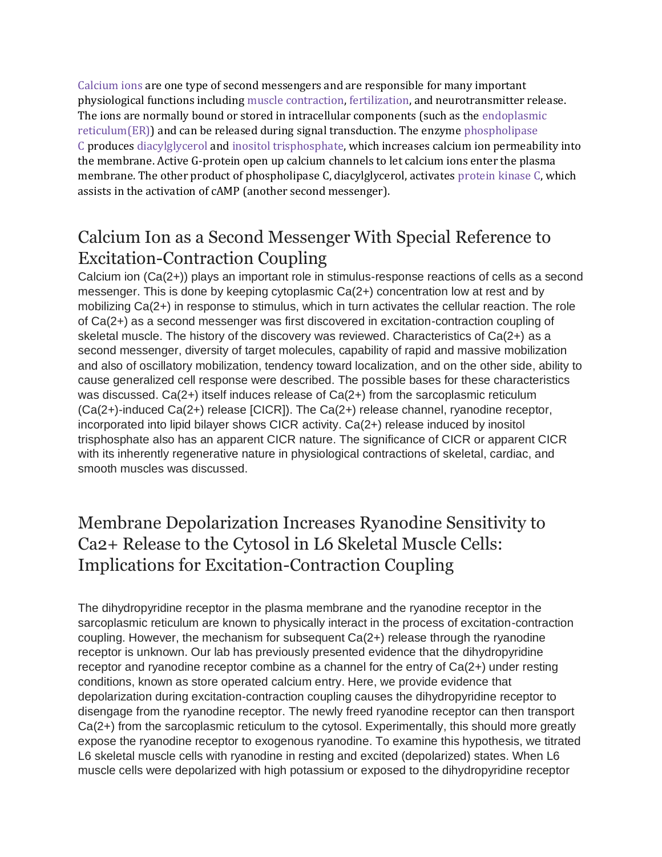[Calcium](https://en.m.wikipedia.org/wiki/Calcium_in_biology) ions are one type of second messengers and are responsible for many important physiological functions including muscle [contraction,](https://en.m.wikipedia.org/wiki/Muscle_contraction) [fertilization,](https://en.m.wikipedia.org/wiki/Fertilisation) and neurotransmitter release. The ions are normally bound or stored in intracellular components (such as the [endoplasmic](https://en.m.wikipedia.org/wiki/Endoplasmic_reticulum) [reticulum\(ER\)\)](https://en.m.wikipedia.org/wiki/Endoplasmic_reticulum) and can be released during signal transduction. The enzyme [phospholipase](https://en.m.wikipedia.org/wiki/Phospholipase_C) [C](https://en.m.wikipedia.org/wiki/Phospholipase_C) produces [diacylglycerol](https://en.m.wikipedia.org/wiki/Diglyceride) and inositol [trisphosphate,](https://en.m.wikipedia.org/wiki/Inositol_trisphosphate) which increases calcium ion permeability into the membrane. Active G-protein open up calcium channels to let calcium ions enter the plasma membrane. The other product of phospholipase C, diacylglycerol, activates [protein](https://en.m.wikipedia.org/wiki/Protein_kinase_C) kinase C, which assists in the activation of cAMP (another second messenger).

## Calcium Ion as a Second Messenger With Special Reference to Excitation-Contraction Coupling

Calcium ion (Ca(2+)) plays an important role in stimulus-response reactions of cells as a second messenger. This is done by keeping cytoplasmic Ca(2+) concentration low at rest and by mobilizing Ca(2+) in response to stimulus, which in turn activates the cellular reaction. The role of Ca(2+) as a second messenger was first discovered in excitation-contraction coupling of skeletal muscle. The history of the discovery was reviewed. Characteristics of Ca(2+) as a second messenger, diversity of target molecules, capability of rapid and massive mobilization and also of oscillatory mobilization, tendency toward localization, and on the other side, ability to cause generalized cell response were described. The possible bases for these characteristics was discussed. Ca(2+) itself induces release of Ca(2+) from the sarcoplasmic reticulum  $(Ca(2+)$ -induced  $Ca(2+)$  release  $[CICR]$ ). The  $Ca(2+)$  release channel, ryanodine receptor, incorporated into lipid bilayer shows CICR activity. Ca(2+) release induced by inositol trisphosphate also has an apparent CICR nature. The significance of CICR or apparent CICR with its inherently regenerative nature in physiological contractions of skeletal, cardiac, and smooth muscles was discussed.

## Membrane Depolarization Increases Ryanodine Sensitivity to Ca2+ Release to the Cytosol in L6 Skeletal Muscle Cells: Implications for Excitation-Contraction Coupling

The dihydropyridine receptor in the plasma membrane and the ryanodine receptor in the sarcoplasmic reticulum are known to physically interact in the process of excitation-contraction coupling. However, the mechanism for subsequent Ca(2+) release through the ryanodine receptor is unknown. Our lab has previously presented evidence that the dihydropyridine receptor and ryanodine receptor combine as a channel for the entry of Ca(2+) under resting conditions, known as store operated calcium entry. Here, we provide evidence that depolarization during excitation-contraction coupling causes the dihydropyridine receptor to disengage from the ryanodine receptor. The newly freed ryanodine receptor can then transport Ca(2+) from the sarcoplasmic reticulum to the cytosol. Experimentally, this should more greatly expose the ryanodine receptor to exogenous ryanodine. To examine this hypothesis, we titrated L6 skeletal muscle cells with ryanodine in resting and excited (depolarized) states. When L6 muscle cells were depolarized with high potassium or exposed to the dihydropyridine receptor